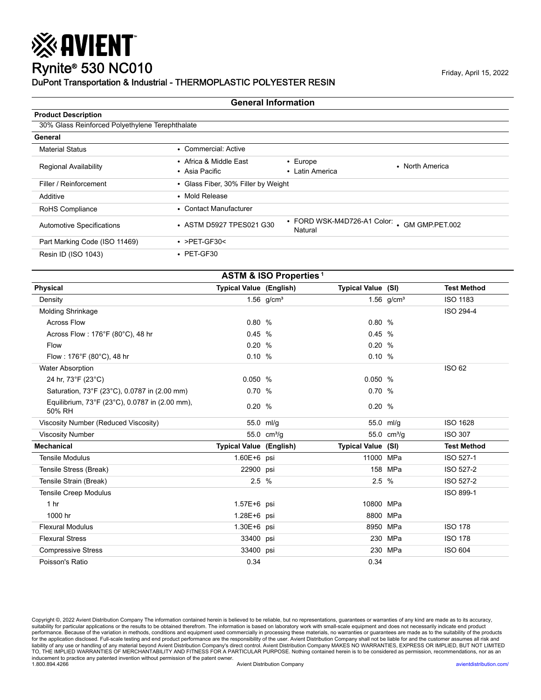### Rynite® 530 NC010 Friday, April 15, 2022 DuPont Transportation & Industrial - THERMOPLASTIC POLYESTER RESIN

※ AVIENT

#### **General Information**

| <b>Product Description</b>                      |                                          |                                   |                                              |
|-------------------------------------------------|------------------------------------------|-----------------------------------|----------------------------------------------|
| 30% Glass Reinforced Polyethylene Terephthalate |                                          |                                   |                                              |
| General                                         |                                          |                                   |                                              |
| <b>Material Status</b>                          | • Commercial: Active                     |                                   |                                              |
| <b>Regional Availability</b>                    | • Africa & Middle East<br>• Asia Pacific | $\cdot$ Europe<br>• Latin America | • North America                              |
| Filler / Reinforcement                          | • Glass Fiber, 30% Filler by Weight      |                                   |                                              |
| Additive                                        | • Mold Release                           |                                   |                                              |
| RoHS Compliance                                 | • Contact Manufacturer                   |                                   |                                              |
| <b>Automotive Specifications</b>                | • ASTM D5927 TPES021 G30                 | Natural                           | • FORD WSK-M4D726-A1 Color: • GM GMP.PET.002 |
| Part Marking Code (ISO 11469)                   | $\cdot$ >PET-GF30<                       |                                   |                                              |
| Resin ID (ISO 1043)                             | $\cdot$ PET-GF30                         |                                   |                                              |

| <b>ASTM &amp; ISO Properties<sup>1</sup></b>             |                                |                 |                           |                         |                    |  |  |
|----------------------------------------------------------|--------------------------------|-----------------|---------------------------|-------------------------|--------------------|--|--|
| <b>Physical</b>                                          | <b>Typical Value (English)</b> |                 | <b>Typical Value (SI)</b> |                         | <b>Test Method</b> |  |  |
| Density                                                  |                                | 1.56 $q/cm^{3}$ |                           | 1.56 $q/cm^{3}$         | <b>ISO 1183</b>    |  |  |
| <b>Molding Shrinkage</b>                                 |                                |                 |                           |                         | ISO 294-4          |  |  |
| <b>Across Flow</b>                                       | 0.80%                          |                 | 0.80%                     |                         |                    |  |  |
| Across Flow: 176°F (80°C), 48 hr                         | 0.45 %                         |                 | 0.45%                     |                         |                    |  |  |
| Flow                                                     | 0.20%                          |                 | 0.20%                     |                         |                    |  |  |
| Flow: 176°F (80°C), 48 hr                                | 0.10%                          |                 | 0.10%                     |                         |                    |  |  |
| <b>Water Absorption</b>                                  |                                |                 |                           |                         | <b>ISO 62</b>      |  |  |
| 24 hr, 73°F (23°C)                                       | 0.050%                         |                 | 0.050%                    |                         |                    |  |  |
| Saturation, 73°F (23°C), 0.0787 in (2.00 mm)             | 0.70%                          |                 | 0.70%                     |                         |                    |  |  |
| Equilibrium, 73°F (23°C), 0.0787 in (2.00 mm),<br>50% RH | 0.20%                          |                 | 0.20%                     |                         |                    |  |  |
| Viscosity Number (Reduced Viscosity)                     |                                | 55.0 ml/g       |                           | 55.0 ml/g               | <b>ISO 1628</b>    |  |  |
| <b>Viscosity Number</b>                                  |                                | 55.0 $cm^{3}/g$ |                           | 55.0 cm <sup>3</sup> /g | <b>ISO 307</b>     |  |  |
| <b>Mechanical</b>                                        | <b>Typical Value (English)</b> |                 | <b>Typical Value (SI)</b> |                         | <b>Test Method</b> |  |  |
| <b>Tensile Modulus</b>                                   | 1.60E+6 psi                    |                 | 11000 MPa                 |                         | ISO 527-1          |  |  |
| Tensile Stress (Break)                                   | 22900 psi                      |                 |                           | 158 MPa                 | ISO 527-2          |  |  |
| Tensile Strain (Break)                                   | 2.5 %                          |                 | 2.5%                      |                         | ISO 527-2          |  |  |
| <b>Tensile Creep Modulus</b>                             |                                |                 |                           |                         | ISO 899-1          |  |  |
| 1 <sub>hr</sub>                                          | 1.57E+6 psi                    |                 | 10800 MPa                 |                         |                    |  |  |
| 1000 hr                                                  | 1.28E+6 psi                    |                 |                           | 8800 MPa                |                    |  |  |
| <b>Flexural Modulus</b>                                  | 1.30E+6 psi                    |                 |                           | 8950 MPa                | <b>ISO 178</b>     |  |  |
| <b>Flexural Stress</b>                                   | 33400 psi                      |                 |                           | 230 MPa                 | <b>ISO 178</b>     |  |  |
| <b>Compressive Stress</b>                                | 33400 psi                      |                 |                           | 230 MPa                 | <b>ISO 604</b>     |  |  |
| Poisson's Ratio                                          | 0.34                           |                 | 0.34                      |                         |                    |  |  |

Copyright ©, 2022 Avient Distribution Company The information contained herein is believed to be reliable, but no representations, guarantees or warranties of any kind are made as to its accuracy,<br>suitability for particul for the application disclosed. Full-scale testing and end product performance are the responsibility of the user. Avient Distribution Company shall not be liable for and the customer assumes all risk and<br>liability of any u inducement to practice any patented invention without permission of the patent owner.<br>1.800.894.4266 1.800.894.4266 Avient Distribution Company [avientdistribution.com/](https://www.avientdistribution.com/)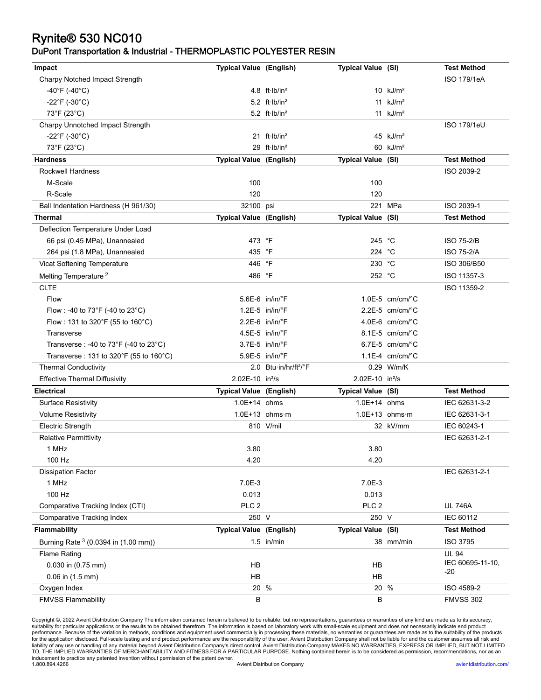# Rynite® 530 NC010

#### DuPont Transportation & Industrial - THERMOPLASTIC POLYESTER RESIN

| Impact                                 | <b>Typical Value (English)</b> |                                     | Typical Value (SI)          |                               | <b>Test Method</b> |
|----------------------------------------|--------------------------------|-------------------------------------|-----------------------------|-------------------------------|--------------------|
| Charpy Notched Impact Strength         |                                |                                     |                             |                               | ISO 179/1eA        |
| -40°F (-40°C)                          |                                | 4.8 $ft·lb/in2$                     |                             | $10$ kJ/m <sup>2</sup>        |                    |
| -22°F (-30°C)                          |                                | 5.2 $ft·lb/in2$                     |                             | 11 $kJ/m2$                    |                    |
| 73°F (23°C)                            |                                | $5.2$ ft $\cdot$ lb/in <sup>2</sup> |                             | 11 $kJ/m2$                    |                    |
| Charpy Unnotched Impact Strength       |                                |                                     |                             |                               | <b>ISO 179/1eU</b> |
| $-22^{\circ}$ F (-30 $^{\circ}$ C)     |                                | 21 $ft·lb/in2$                      |                             | 45 $kJ/m2$                    |                    |
| 73°F (23°C)                            |                                | 29 ft·lb/in <sup>2</sup>            |                             | 60 $kJ/m2$                    |                    |
| <b>Hardness</b>                        | <b>Typical Value (English)</b> |                                     | Typical Value (SI)          |                               | <b>Test Method</b> |
| Rockwell Hardness                      |                                |                                     |                             |                               | ISO 2039-2         |
| M-Scale                                | 100                            |                                     | 100                         |                               |                    |
| R-Scale                                | 120                            |                                     | 120                         |                               |                    |
| Ball Indentation Hardness (H 961/30)   | 32100 psi                      |                                     |                             | 221 MPa                       | ISO 2039-1         |
| <b>Thermal</b>                         | Typical Value (English)        |                                     | Typical Value (SI)          |                               | <b>Test Method</b> |
| Deflection Temperature Under Load      |                                |                                     |                             |                               |                    |
| 66 psi (0.45 MPa), Unannealed          | 473 °F                         |                                     | 245 °C                      |                               | <b>ISO 75-2/B</b>  |
| 264 psi (1.8 MPa), Unannealed          | 435 °F                         |                                     | 224 °C                      |                               | <b>ISO 75-2/A</b>  |
| Vicat Softening Temperature            | 446 °F                         |                                     | 230 °C                      |                               | ISO 306/B50        |
| Melting Temperature <sup>2</sup>       | 486 °F                         |                                     | 252 °C                      |                               | ISO 11357-3        |
| <b>CLTE</b>                            |                                |                                     |                             |                               | ISO 11359-2        |
| Flow                                   |                                | $5.6E-6$ in/in/ $\degree$ F         |                             | $1.0E-5$ cm/cm/ $^{\circ}$ C  |                    |
| Flow : -40 to 73°F (-40 to 23°C)       |                                | $1.2E-5$ in/in/ $\degree$ F         |                             | $2.2E-5$ cm/cm/ $°C$          |                    |
| Flow: 131 to 320°F (55 to 160°C)       |                                | $2.2E-6$ in/in/ $\degree$ F         |                             | $4.0E-6$ cm/cm/ $^{\circ}$ C  |                    |
| <b>Transverse</b>                      |                                | $4.5E-5$ in/in/ $\degree$ F         |                             | $8.1E-5$ cm/cm/ $^{\circ}$ C  |                    |
| Transverse : -40 to 73°F (-40 to 23°C) |                                | $3.7E-5$ in/in/ $\degree$ F         |                             | $6.7E-5$ cm/cm/ $^{\circ}$ C  |                    |
| Transverse: 131 to 320°F (55 to 160°C) |                                | 5.9E-5 in/in/°F                     |                             | 1.1E-4 $cm/cm$ <sup>o</sup> C |                    |
| <b>Thermal Conductivity</b>            |                                | 2.0 Btu·in/hr/ft <sup>2</sup> /°F   |                             | 0.29 W/m/K                    |                    |
| <b>Effective Thermal Diffusivity</b>   | 2.02E-10 in <sup>2</sup> /s    |                                     | 2.02E-10 in <sup>2</sup> /s |                               |                    |
| <b>Electrical</b>                      | <b>Typical Value (English)</b> |                                     | Typical Value (SI)          |                               | <b>Test Method</b> |
| <b>Surface Resistivity</b>             | 1.0E+14 ohms                   |                                     | 1.0E+14 ohms                |                               | IEC 62631-3-2      |
| <b>Volume Resistivity</b>              |                                | $1.0E+13$ ohms m                    |                             | $1.0E+13$ ohms m              | IEC 62631-3-1      |
| <b>Electric Strength</b>               |                                | 810 V/mil                           |                             | 32 kV/mm                      | IEC 60243-1        |
| <b>Relative Permittivity</b>           |                                |                                     |                             |                               | IEC 62631-2-1      |
| 1 MHz                                  | 3.80                           |                                     | 3.80                        |                               |                    |
| 100 Hz                                 | 4.20                           |                                     | 4.20                        |                               |                    |
| <b>Dissipation Factor</b>              |                                |                                     |                             |                               | IEC 62631-2-1      |
| 1 MHz                                  | 7.0E-3                         |                                     | $7.0E-3$                    |                               |                    |
| 100 Hz                                 | 0.013                          |                                     | 0.013                       |                               |                    |
| Comparative Tracking Index (CTI)       | PLC <sub>2</sub>               |                                     | PLC <sub>2</sub>            |                               | <b>UL 746A</b>     |
| <b>Comparative Tracking Index</b>      | 250 V                          |                                     | 250 V                       |                               | IEC 60112          |
| <b>Flammability</b>                    | <b>Typical Value (English)</b> |                                     | Typical Value (SI)          |                               | <b>Test Method</b> |
| Burning Rate 3 (0.0394 in (1.00 mm))   |                                | $1.5$ in/min                        |                             | 38 mm/min                     | <b>ISO 3795</b>    |
| <b>Flame Rating</b>                    |                                |                                     |                             |                               | <b>UL 94</b>       |
| 0.030 in (0.75 mm)                     | HB                             |                                     | <b>HB</b>                   |                               | IEC 60695-11-10,   |
| $0.06$ in $(1.5$ mm)                   | <b>HB</b>                      |                                     | <b>HB</b>                   |                               | -20                |
| Oxygen Index                           |                                | 20 %                                |                             | 20 %                          | ISO 4589-2         |
| <b>FMVSS Flammability</b>              | B                              |                                     | $\sf B$                     |                               | <b>FMVSS 302</b>   |

Copyright ©, 2022 Avient Distribution Company The information contained herein is believed to be reliable, but no representations, guarantees or warranties of any kind are made as to its accuracy,<br>suitability for particul for the application disclosed. Full-scale testing and end product performance are the responsibility of the user. Avient Distribution Company shall not be liable for and the customer assumes all risk and<br>liability of any u inducement to practice any patented invention without permission of the patent owner. 1.800.894.4266 Avient Distribution Company [avientdistribution.com/](https://www.avientdistribution.com/)